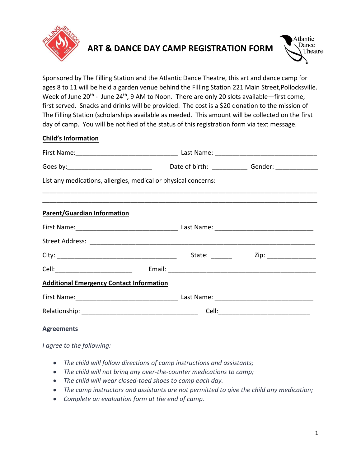

# **ART & DANCE DAY CAMP REGISTRATION FORM**



Sponsored by The Filling Station and the Atlantic Dance Theatre, this art and dance camp for ages 8 to 11 will be held a garden venue behind the Filling Station 221 Main Street,Pollocksville. Week of June 20<sup>th</sup> - June 24<sup>th</sup>, 9 AM to Noon. There are only 20 slots available—first come, first served. Snacks and drinks will be provided. The cost is a \$20 donation to the mission of The Filling Station (scholarships available as needed. This amount will be collected on the first day of camp. You will be notified of the status of this registration form via text message.

## **Child's Information**

| List any medications, allergies, medical or physical concerns: |  |  |
|----------------------------------------------------------------|--|--|
| <b>Parent/Guardian Information</b>                             |  |  |
|                                                                |  |  |
|                                                                |  |  |
|                                                                |  |  |
|                                                                |  |  |
| <b>Additional Emergency Contact Information</b>                |  |  |
|                                                                |  |  |
|                                                                |  |  |
| <b>Agreements</b>                                              |  |  |

*I agree to the following:*

- *The child will follow directions of camp instructions and assistants;*
- *The child will not bring any over-the-counter medications to camp;*
- *The child will wear closed-toed shoes to camp each day.*
- *The camp instructors and assistants are not permitted to give the child any medication;*
- *Complete an evaluation form at the end of camp.*